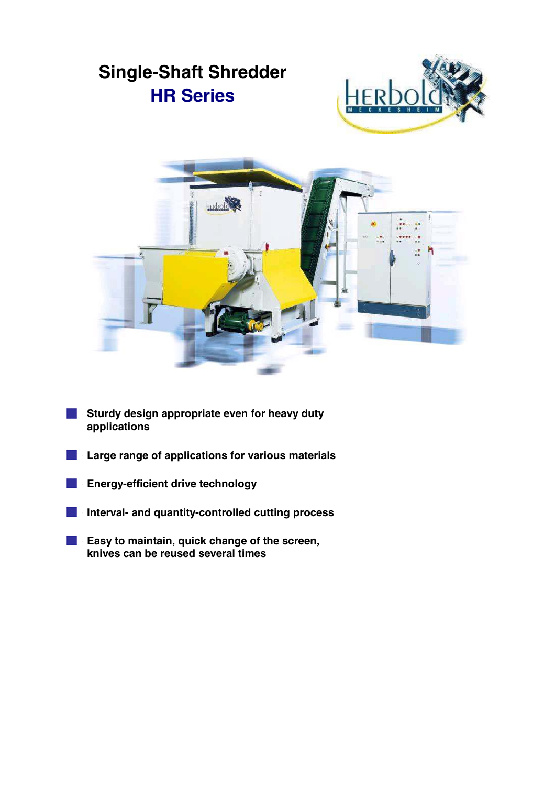

- **Sturdy design appropriate even for heavy duty applications**
- **Large range of applications for various materials**
- **Energy-efficient drive technology COL**
- **Interval- and quantity-controlled cutting process** ×.
- **Easy to maintain, quick change of the screen,**  $\sim 10$ **knives can be reused several times**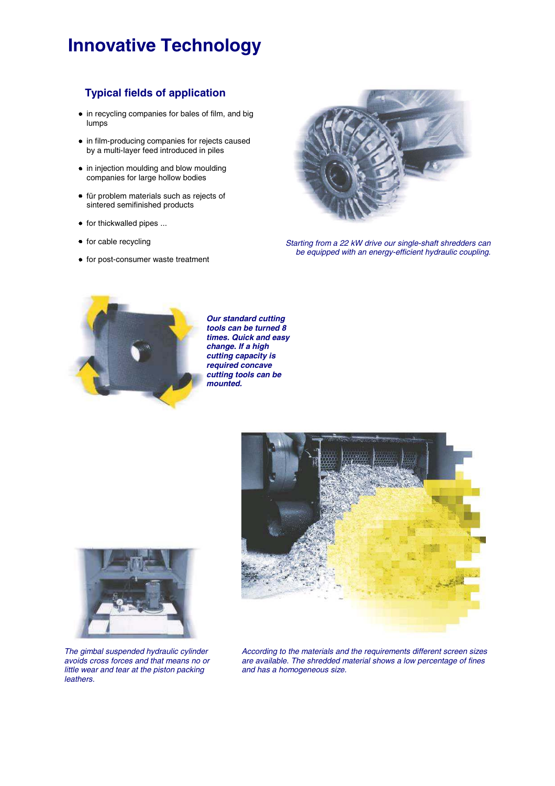# **Innovative Technology**

## **Typical fields of application**

- $\bullet$  in recycling companies for bales of film, and big lumps
- in film-producing companies for rejects caused by a multi-layer feed introduced in piles
- in injection moulding and blow moulding companies for large hollow bodies
- für problem materials such as rejects of sintered semifinished products
- $\bullet$  for thickwalled pipes ...
- $\bullet$  for cable recycling
- for post-consumer waste treatment



*Starting from a 22 kW drive our single-shaft shredders can be equipped with an energy-efficient hydraulic coupling.*



*Our standard cutting tools can be turned 8 times. Quick and easy change. If a high cutting capacity is required concave cutting tools can be mounted.*





*The gimbal suspended hydraulic cylinder avoids cross forces and that means no or little wear and tear at the piston packing leathers.*

*According to the materials and the requirements different screen sizes are available. The shredded material shows a low percentage of fines and has a homogeneous size.*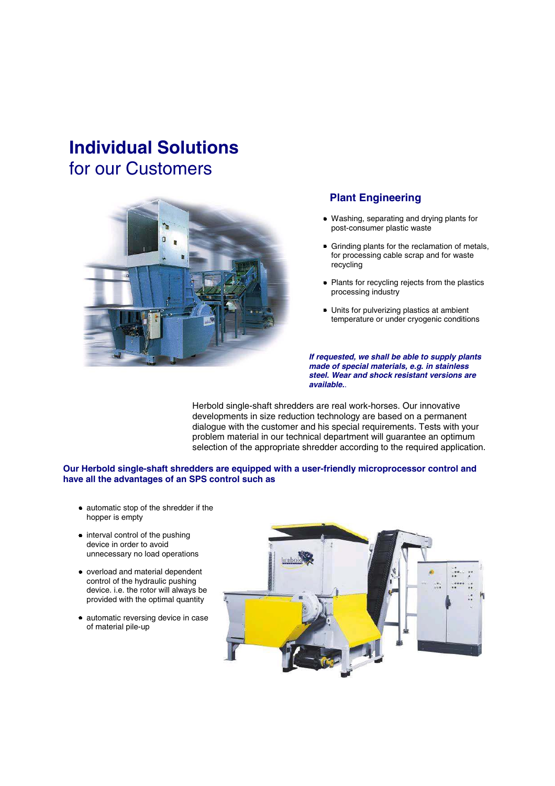# **Individual Solutions** for our Customers



### **Plant Engineering**

- Washing, separating and drying plants for post-consumer plastic waste
- Grinding plants for the reclamation of metals, for processing cable scrap and for waste recycling
- Plants for recycling rejects from the plastics processing industry
- Units for pulverizing plastics at ambient temperature or under cryogenic conditions

*If requested, we shall be able to supply plants made of special materials, e.g. in stainless steel. Wear and shock resistant versions are available..*

Herbold single-shaft shredders are real work-horses. Our innovative developments in size reduction technology are based on a permanent dialogue with the customer and his special requirements. Tests with your problem material in our technical department will guarantee an optimum selection of the appropriate shredder according to the required application.

#### **Our Herbold single-shaft shredders are equipped with a user-friendly microprocessor control and have all the advantages of an SPS control such as**

- automatic stop of the shredder if the hopper is empty
- $\bullet$  interval control of the pushing device in order to avoid unnecessary no load operations
- overload and material dependent control of the hydraulic pushing device. i.e. the rotor will always be provided with the optimal quantity
- automatic reversing device in case of material pile-up